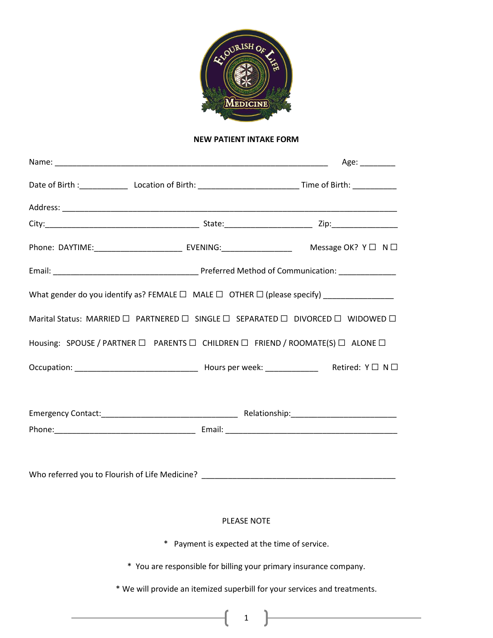

## **NEW PATIENT INTAKE FORM**

| What gender do you identify as? FEMALE $\square$ MALE $\square$ OTHER $\square$ (please specify) __________________ |  |
|---------------------------------------------------------------------------------------------------------------------|--|
| Marital Status: MARRIED □ PARTNERED □ SINGLE □ SEPARATED □ DIVORCED □ WIDOWED □                                     |  |
| Housing: SPOUSE / PARTNER □ PARENTS □ CHILDREN □ FRIEND / ROOMATE(S) □ ALONE □                                      |  |
|                                                                                                                     |  |
|                                                                                                                     |  |
|                                                                                                                     |  |
|                                                                                                                     |  |
| <b>PLEASE NOTE</b>                                                                                                  |  |
| * Payment is expected at the time of service.                                                                       |  |
| * You are responsible for billing your primary insurance company.                                                   |  |
| * We will provide an itemized superbill for your services and treatments.                                           |  |

1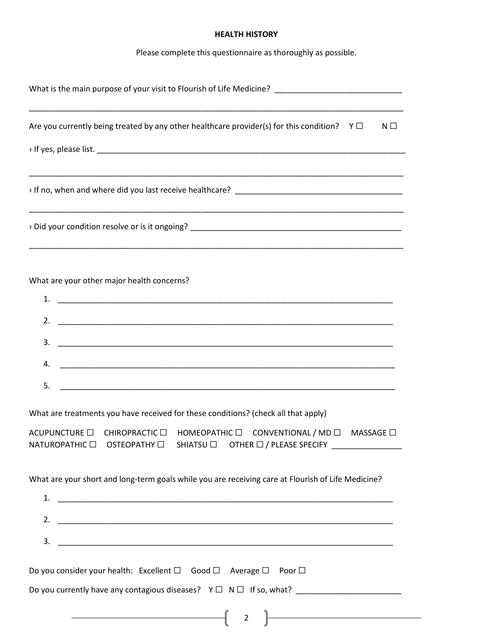# **HEALTH HISTORY**

Please complete this questionnaire as thoroughly as possible.

| Are you currently being treated by any other healthcare provider(s) for this condition? $Y \Box$<br>$N \Box$                                                                                                                                      |
|---------------------------------------------------------------------------------------------------------------------------------------------------------------------------------------------------------------------------------------------------|
|                                                                                                                                                                                                                                                   |
|                                                                                                                                                                                                                                                   |
|                                                                                                                                                                                                                                                   |
| What are your other major health concerns?<br>3.<br>4.                                                                                                                                                                                            |
| 5.                                                                                                                                                                                                                                                |
| What are treatments you have received for these conditions? (check all that apply)<br>ACUPUNCTURE □ CHIROPRACTIC □ HOMEOPATHIC □ CONVENTIONAL / MD □ MASSAGE □<br>NATUROPATHIC □ OSTEOPATHY □ SHIATSU □ OTHER □ / PLEASE SPECIFY ________________ |
| What are your short and long-term goals while you are receiving care at Flourish of Life Medicine?<br>3.                                                                                                                                          |
| Do you consider your health: Excellent □ Good □ Average □ Poor □<br><u> 1989 - Johann Stoff, deutscher Stoffen und der Stoffen und der Stoffen und der Stoffen und der Stoffen und der</u>                                                        |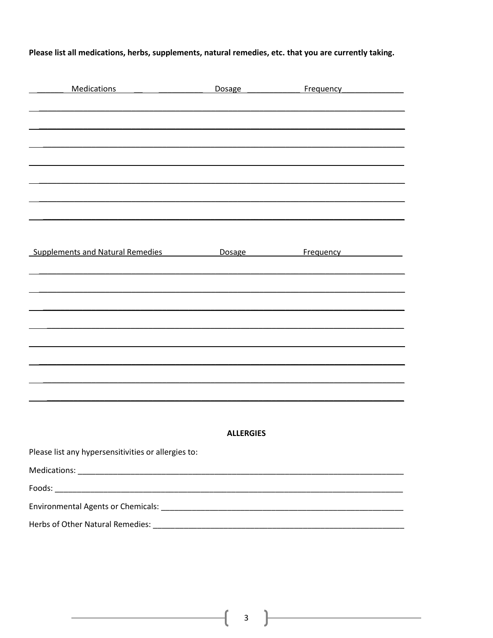Please list all medications, herbs, supplements, natural remedies, etc. that you are currently taking.

| Medications                                         | Dosage _____________ |                                                   |  |  |
|-----------------------------------------------------|----------------------|---------------------------------------------------|--|--|
|                                                     |                      |                                                   |  |  |
|                                                     |                      |                                                   |  |  |
|                                                     |                      |                                                   |  |  |
|                                                     |                      |                                                   |  |  |
|                                                     |                      |                                                   |  |  |
|                                                     |                      |                                                   |  |  |
|                                                     |                      |                                                   |  |  |
| <b>Supplements and Natural Remedies</b>             |                      | Dosage <b>Example Frequency Example Frequency</b> |  |  |
|                                                     |                      |                                                   |  |  |
|                                                     |                      |                                                   |  |  |
|                                                     |                      |                                                   |  |  |
|                                                     |                      |                                                   |  |  |
|                                                     |                      |                                                   |  |  |
|                                                     |                      |                                                   |  |  |
|                                                     |                      |                                                   |  |  |
|                                                     |                      |                                                   |  |  |
|                                                     | <b>ALLERGIES</b>     |                                                   |  |  |
| Please list any hypersensitivities or allergies to: |                      |                                                   |  |  |
|                                                     |                      |                                                   |  |  |
|                                                     |                      |                                                   |  |  |
|                                                     |                      |                                                   |  |  |
|                                                     |                      |                                                   |  |  |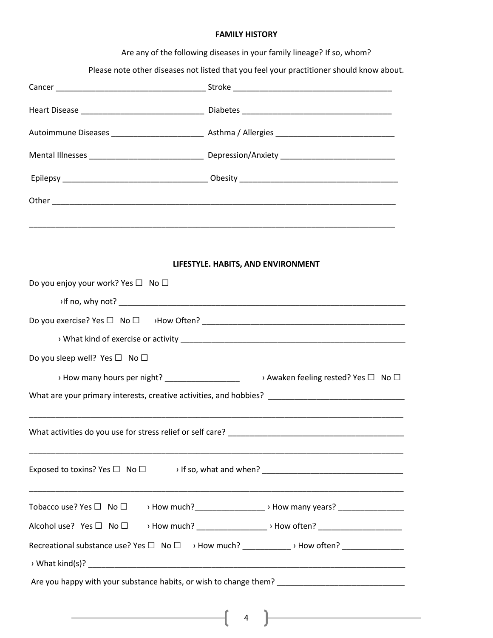### **FAMILY HISTORY**

Are any of the following diseases in your family lineage? If so, whom?

Please note other diseases not listed that you feel your practitioner should know about.

|                                                     | LIFESTYLE. HABITS, AND ENVIRONMENT                                                                   |  |  |
|-----------------------------------------------------|------------------------------------------------------------------------------------------------------|--|--|
| Do you enjoy your work? Yes $\square$ No $\square$  |                                                                                                      |  |  |
| $\mathsf{M}$ fino, why not?                         |                                                                                                      |  |  |
|                                                     |                                                                                                      |  |  |
|                                                     |                                                                                                      |  |  |
| Do you sleep well? Yes $\square$ No $\square$       |                                                                                                      |  |  |
|                                                     | > How many hours per night? _____________________ > Awaken feeling rested? Yes □ No □                |  |  |
|                                                     | What are your primary interests, creative activities, and hobbies? _________________________________ |  |  |
|                                                     |                                                                                                      |  |  |
|                                                     |                                                                                                      |  |  |
|                                                     |                                                                                                      |  |  |
|                                                     |                                                                                                      |  |  |
|                                                     |                                                                                                      |  |  |
|                                                     |                                                                                                      |  |  |
|                                                     | Recreational substance use? Yes □ No □ > How much? ___________ > How often? ___________              |  |  |
|                                                     |                                                                                                      |  |  |
|                                                     | Are you happy with your substance habits, or wish to change them? _________________________________  |  |  |
|                                                     |                                                                                                      |  |  |
| <u> 1980 - Johann Barbara, martin eta politikar</u> | <u> 1980 - Johann Barbara, martxa alemaniar a</u><br>$\overline{4}$                                  |  |  |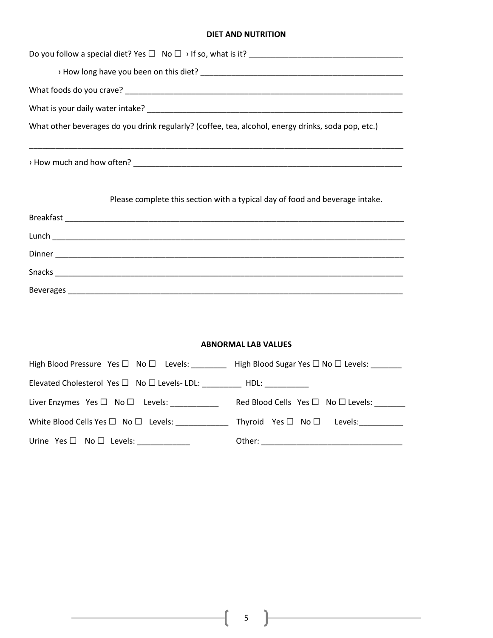#### **DIET AND NUTRITION**

| What other beverages do you drink regularly? (coffee, tea, alcohol, energy drinks, soda pop, etc.)                        |                                                                              |  |  |
|---------------------------------------------------------------------------------------------------------------------------|------------------------------------------------------------------------------|--|--|
|                                                                                                                           |                                                                              |  |  |
|                                                                                                                           | Please complete this section with a typical day of food and beverage intake. |  |  |
|                                                                                                                           |                                                                              |  |  |
|                                                                                                                           |                                                                              |  |  |
|                                                                                                                           |                                                                              |  |  |
|                                                                                                                           |                                                                              |  |  |
|                                                                                                                           |                                                                              |  |  |
|                                                                                                                           |                                                                              |  |  |
|                                                                                                                           | <b>ABNORMAL LAB VALUES</b>                                                   |  |  |
| High Blood Pressure Yes □ No □ Levels: ________ High Blood Sugar Yes □ No □ Levels: ______                                |                                                                              |  |  |
| Elevated Cholesterol Yes □ No □ Levels- LDL: __________ HDL: ___________                                                  |                                                                              |  |  |
| Liver Enzymes Yes □ No □ Levels: _____________ Red Blood Cells Yes □ No □ Levels: ______                                  |                                                                              |  |  |
| White Blood Cells Yes $\square$ No $\square$ Levels: _______________ Thyroid Yes $\square$ No $\square$ Levels: _________ |                                                                              |  |  |

 $\text{Urine Yes } \Box \quad \text{No } \Box \quad \text{Levels: } \underline{\hspace{2cm}} \text{Other: } \underline{\hspace{2cm}} \underline{\hspace{2cm}} \text{Other: } \underline{\hspace{2cm}} \underline{\hspace{2cm}} \underline{\hspace{2cm}} \underline{\hspace{2cm}} \underline{\hspace{2cm}} \underline{\hspace{2cm}} \underline{\hspace{2cm}} \underline{\hspace{2cm}} \underline{\hspace{2cm}} \underline{\hspace{2cm}} \underline{\hspace{2cm}} \underline{\hspace{2cm}} \underline{\hspace{2cm}} \underline{\hspace{2cm}} \underline{\hspace{2cm}} \underline{\hspace{2cm}} \underline{\hspace{2$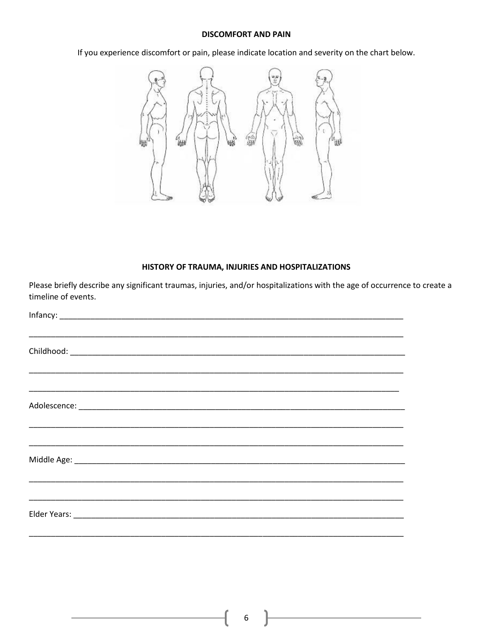### **DISCOMFORT AND PAIN**

If you experience discomfort or pain, please indicate location and severity on the chart below.



# HISTORY OF TRAUMA, INJURIES AND HOSPITALIZATIONS

Please briefly describe any significant traumas, injuries, and/or hospitalizations with the age of occurrence to create a timeline of events.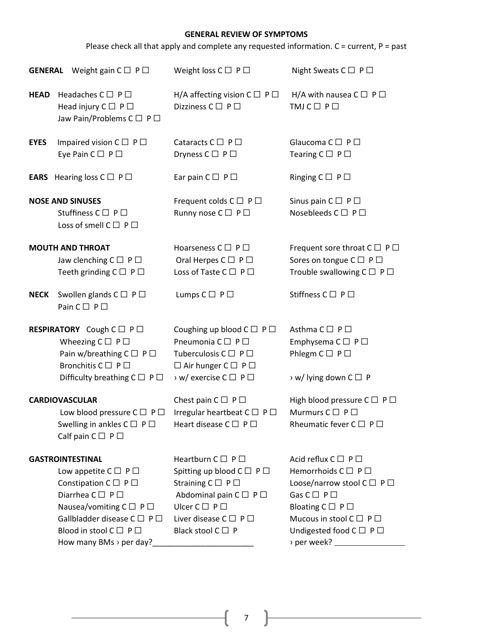# **GENERAL REVIEW OF SYMPTOMS**

Please check all that apply and complete any requested information. C = current, P = past

|             | <b>GENERAL</b> Weight gain $C \Box P \Box$                                                                                                                                                                                                                   | Weight loss $C \square P \square$                                                                                                                                                                                                                  | Night Sweats $C \square P \square$                                                                                                                                                                                                                                                 |
|-------------|--------------------------------------------------------------------------------------------------------------------------------------------------------------------------------------------------------------------------------------------------------------|----------------------------------------------------------------------------------------------------------------------------------------------------------------------------------------------------------------------------------------------------|------------------------------------------------------------------------------------------------------------------------------------------------------------------------------------------------------------------------------------------------------------------------------------|
| <b>HEAD</b> | Headaches $C \square P \square$<br>Head injury $C \square P \square$<br>Jaw Pain/Problems C □ P □                                                                                                                                                            | H/A affecting vision $C \square P \square$<br>Dizziness $C \square P \square$                                                                                                                                                                      | H/A with nausea $C \square P \square$<br>$TMJ C \square P \square$                                                                                                                                                                                                                 |
| <b>EYES</b> | Impaired vision $C \Box P \Box$<br>Eye Pain $C \square P \square$                                                                                                                                                                                            | Cataracts $C \Box P \Box$<br>Dryness $C \square P \square$                                                                                                                                                                                         | Glaucoma $C \square P \square$<br>Tearing $C \square P \square$                                                                                                                                                                                                                    |
|             | <b>EARS</b> Hearing loss $C \square P \square$                                                                                                                                                                                                               | Ear pain $C \square P \square$                                                                                                                                                                                                                     | Ringing $C \square P \square$                                                                                                                                                                                                                                                      |
|             | <b>NOSE AND SINUSES</b><br>Stuffiness $C \square P \square$<br>Loss of smell $C \square P \square$                                                                                                                                                           | Frequent colds $C \square P \square$<br>Runny nose C □ P □                                                                                                                                                                                         | Sinus pain $C \square P \square$<br>Nosebleeds C □ P □                                                                                                                                                                                                                             |
|             | <b>MOUTH AND THROAT</b><br>Jaw clenching $C \square P \square$<br>Teeth grinding $C \square P \square$                                                                                                                                                       | Hoarseness $C \square P \square$<br>Oral Herpes $C \square P \square$<br>Loss of Taste C □ P □                                                                                                                                                     | Frequent sore throat $C \square P \square$<br>Sores on tongue $C \square P \square$<br>Trouble swallowing $C \square P \square$                                                                                                                                                    |
| <b>NECK</b> | Swollen glands $C \square P \square$<br>Pain $C \square P \square$                                                                                                                                                                                           | Lumps $C \square P \square$                                                                                                                                                                                                                        | Stiffness $C \square P \square$                                                                                                                                                                                                                                                    |
|             | <b>RESPIRATORY</b> Cough C □ P □<br>Wheezing $C \square P \square$<br>Pain w/breathing $C \Box P \Box$<br>Bronchitis $C \square P \square$<br>Difficulty breathing $C \square P \square$                                                                     | Coughing up blood $C \Box P \Box$<br>Pneumonia $C \square P \square$<br>Tuberculosis $C \square P \square$<br>$\Box$ Air hunger $C \Box P \Box$<br>> w/ exercise C □ P □                                                                           | Asthma $C \square P \square$<br>Emphysema $C \square P \square$<br>Phlegm $C \square P \square$<br>$\rightarrow$ w/ lying down C $\Box$ P                                                                                                                                          |
|             | <b>CARDIOVASCULAR</b><br>Low blood pressure $C \square P \square$<br>Swelling in ankles $C \square P \square$<br>Calf pain $C \square P \square$                                                                                                             | Chest pain $C \square P \square$<br>Irregular heartbeat $C \Box P \Box$<br>Heart disease $C \square P \square$                                                                                                                                     | High blood pressure $C \Box P \Box$<br>Murmurs $C \square P \square$<br>Rheumatic fever $C \square P \square$                                                                                                                                                                      |
|             | <b>GASTROINTESTINAL</b><br>Low appetite $C \square P \square$<br>Constipation $C \square P \square$<br>Diarrhea C □ P □<br>Nausea/vomiting $C \Box P \Box$<br>Gallbladder disease C □ P □<br>Blood in stool $C \square P \square$<br>How many BMs > per day? | Heartburn $C \square P \square$<br>Spitting up blood $C \Box P \Box$<br>Straining $C \square P \square$<br>Abdominal pain $C \square P \square$<br>Ulcer $C \square P \square$<br>Liver disease $C \square P \square$<br>Black stool $C \square P$ | Acid reflux $C \square P \square$<br>Hemorrhoids $C \square P \square$<br>Loose/narrow stool $C \square P \square$<br>Gas $C \square P \square$<br>Bloating $C \square P \square$<br>Mucous in stool $C \square P \square$<br>Undigested food $C \square P \square$<br>> per week? |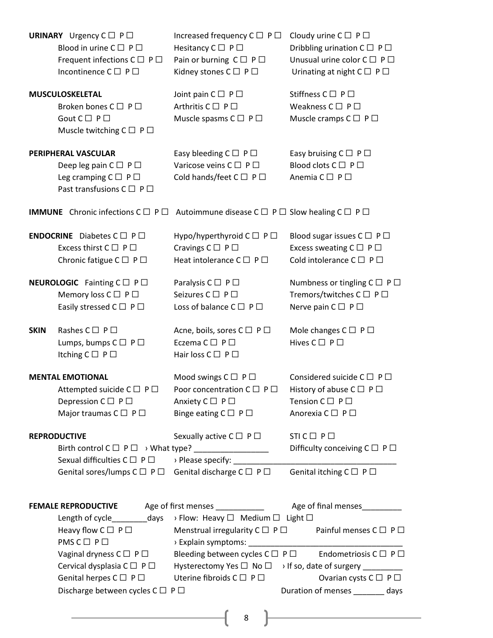| <b>URINARY</b> Urgency $C \square P \square$                                           | Blood in urine $C \square P \square$<br>Frequent infections $C \square P \square$<br>Incontinence $C \square P \square$                                                                       | Increased frequency $C \Box P \Box$<br>Hesitancy $C \square P \square$<br>Pain or burning $C \square P \square$<br>Kidney stones $C \square P \square$ | Cloudy urine $C \square P \square$<br>Dribbling urination $C \square P \square$<br>Unusual urine color $C \square P \square$<br>Urinating at night $C \square P \square$                                                                            |
|----------------------------------------------------------------------------------------|-----------------------------------------------------------------------------------------------------------------------------------------------------------------------------------------------|--------------------------------------------------------------------------------------------------------------------------------------------------------|-----------------------------------------------------------------------------------------------------------------------------------------------------------------------------------------------------------------------------------------------------|
| <b>MUSCULOSKELETAL</b><br>Gout $C \square P \square$                                   | Broken bones $C \square P \square$<br>Muscle twitching $C \square P \square$                                                                                                                  | Joint pain $C \square P \square$<br>Arthritis $C \square P \square$<br>Muscle spasms $C \square P \square$                                             | Stiffness $C \square P \square$<br>Weakness $C \square P \square$<br>Muscle cramps $C \square P \square$                                                                                                                                            |
| PERIPHERAL VASCULAR                                                                    | Deep leg pain $C \square P \square$<br>Leg cramping $C \square P \square$<br>Past transfusions C □ P □                                                                                        | Easy bleeding $C \square P \square$<br>Varicose veins $C \square P \square$<br>Cold hands/feet $C \square P \square$                                   | Easy bruising $C \square P \square$<br>Blood clots $C \square P \square$<br>Anemia $C \square P \square$                                                                                                                                            |
|                                                                                        |                                                                                                                                                                                               | <b>IMMUNE</b> Chronic infections $C \square P \square$ Autoimmune disease $C \square P \square$ Slow healing $C \square P \square$                     |                                                                                                                                                                                                                                                     |
| <b>ENDOCRINE</b> Diabetes $C \square P \square$<br>Excess thirst $C \square P \square$ | Chronic fatigue $C \square P \square$                                                                                                                                                         | Hypo/hyperthyroid $C \Box P \Box$<br>Cravings $C \square P \square$<br>Heat intolerance $C \Box P \Box$                                                | Blood sugar issues $C \square P \square$<br>Excess sweating $C \square P \square$<br>Cold intolerance $C \square P \square$                                                                                                                         |
| <b>NEUROLOGIC</b> Fainting $C \Box P \Box$                                             | Memory loss $C \square P \square$<br>Easily stressed $C \square P \square$                                                                                                                    | Paralysis $C \square P \square$<br>Seizures $C \square P \square$<br>Loss of balance $C \square P \square$                                             | Numbness or tingling $C \square P \square$<br>Tremors/twitches $C \square P \square$<br>Nerve pain $C \square P \square$                                                                                                                            |
| Rashes $C \square P \square$<br><b>SKIN</b><br>Itching $C \square P \square$           | Lumps, bumps $C \square P \square$                                                                                                                                                            | Acne, boils, sores C □ P □<br>Eczema $C \square P \square$<br>Hair loss $C \square P \square$                                                          | Mole changes $C \square P \square$<br>Hives $C \square P \square$                                                                                                                                                                                   |
| <b>MENTAL EMOTIONAL</b><br>Depression $C \square P \square$                            | Attempted suicide C □ P □<br>Major traumas $C \square P \square$                                                                                                                              | Mood swings $C \square P \square$<br>Poor concentration $C \Box P \Box$<br>Anxiety $C \square P \square$<br>Binge eating $C \square P \square$         | Considered suicide $C \Box P \Box$<br>History of abuse $C \Box P \Box$<br>Tension $C \square P \square$<br>Anorexia C □ P □                                                                                                                         |
| <b>REPRODUCTIVE</b>                                                                    | Sexual difficulties $C \Box P \Box$                                                                                                                                                           | Sexually active $C \square P \square$<br>> Please specify: ________<br>Genital sores/lumps $C \Box P \Box$ Genital discharge $C \Box P \Box$           | $STIC \Box P \Box$<br>Difficulty conceiving $C \square P \square$<br>Genital itching $C \square P \square$                                                                                                                                          |
|                                                                                        |                                                                                                                                                                                               |                                                                                                                                                        |                                                                                                                                                                                                                                                     |
| <b>FEMALE REPRODUCTIVE</b><br>$PMS C \square P \square$                                | Heavy flow $C \Box P \Box$<br>Vaginal dryness $C \Box P \Box$<br>Cervical dysplasia $C \square P \square$<br>Genital herpes $C \square P \square$<br>Discharge between cycles $C \Box P \Box$ | Length of cycle__________days > Flow: Heavy □ Medium □ Light □<br>Bleeding between cycles $C \Box P \Box$<br>Uterine fibroids $C \Box P \Box$<br>8     | Menstrual irregularity $C \Box P \Box$ Painful menses $C \Box P \Box$<br>Endometriosis $C \square P \square$<br>Hysterectomy Yes □ No □ > If so, date of surgery ________<br>Ovarian cysts $C \square P \square$<br>Duration of menses _______ days |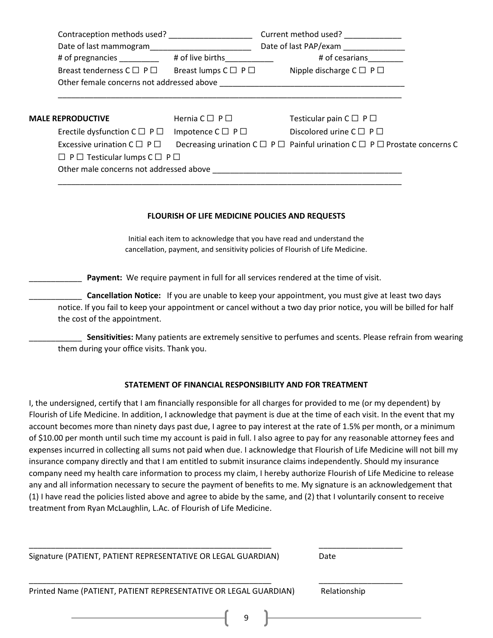|                          | Contraception methods used?                        |                                    | Current method used?                                                                       |
|--------------------------|----------------------------------------------------|------------------------------------|--------------------------------------------------------------------------------------------|
|                          | Date of last mammogram                             |                                    | Date of last PAP/exam                                                                      |
|                          | # of pregnancies                                   | # of live births                   | # of cesarians                                                                             |
|                          | Breast tenderness $C \Box P \Box$                  | Breast lumps $C \square P \square$ | Nipple discharge $C \square P \square$                                                     |
|                          | Other female concerns not addressed above          |                                    |                                                                                            |
|                          |                                                    |                                    |                                                                                            |
| <b>MALE REPRODUCTIVE</b> |                                                    | Hernia $C \square P \square$       | Testicular pain $C \square P \square$                                                      |
|                          | Erectile dysfunction $C \square P \square$         | Impotence $C \square P \square$    | Discolored urine $C \Box P \Box$                                                           |
|                          | Excessive urination $C \square P \square$          |                                    | Decreasing urination $C \Box P \Box$ Painful urination $C \Box P \Box$ Prostate concerns C |
|                          | $\Box$ P $\Box$ Testicular lumps C $\Box$ P $\Box$ |                                    |                                                                                            |
|                          | Other male concerns not addressed above            |                                    |                                                                                            |
|                          |                                                    |                                    |                                                                                            |

#### **FLOURISH OF LIFE MEDICINE POLICIES AND REQUESTS**

Initial each item to acknowledge that you have read and understand the cancellation, payment, and sensitivity policies of Flourish of Life Medicine.

Payment: We require payment in full for all services rendered at the time of visit.

\_\_\_\_\_\_\_\_\_\_\_\_ **Cancellation Notice:** If you are unable to keep your appointment, you must give at least two days notice. If you fail to keep your appointment or cancel without a two day prior notice, you will be billed for half the cost of the appointment.

\_\_\_\_\_\_\_\_\_\_\_\_ **Sensitivities:** Many patients are extremely sensitive to perfumes and scents. Please refrain from wearing them during your office visits. Thank you.

## **STATEMENT OF FINANCIAL RESPONSIBILITY AND FOR TREATMENT**

I, the undersigned, certify that I am financially responsible for all charges for provided to me (or my dependent) by Flourish of Life Medicine. In addition, I acknowledge that payment is due at the time of each visit. In the event that my account becomes more than ninety days past due, I agree to pay interest at the rate of 1.5% per month, or a minimum of \$10.00 per month until such time my account is paid in full. I also agree to pay for any reasonable attorney fees and expenses incurred in collecting all sums not paid when due. I acknowledge that Flourish of Life Medicine will not bill my insurance company directly and that I am entitled to submit insurance claims independently. Should my insurance company need my health care information to process my claim, I hereby authorize Flourish of Life Medicine to release any and all information necessary to secure the payment of benefits to me. My signature is an acknowledgement that (1) I have read the policies listed above and agree to abide by the same, and (2) that I voluntarily consent to receive treatment from Ryan McLaughlin, L.Ac. of Flourish of Life Medicine.

Signature (PATIENT, PATIENT REPRESENTATIVE OR LEGAL GUARDIAN) Date \_\_\_\_\_\_\_\_\_\_\_\_\_\_\_\_\_\_\_\_\_\_\_\_\_\_\_\_\_\_\_\_\_\_\_\_\_\_\_\_\_\_\_\_\_\_\_\_\_\_\_\_\_\_\_ \_\_\_\_\_\_\_\_\_\_\_\_\_\_\_\_\_\_\_

\_\_\_\_\_\_\_\_\_\_\_\_\_\_\_\_\_\_\_\_\_\_\_\_\_\_\_\_\_\_\_\_\_\_\_\_\_\_\_\_\_\_\_\_\_\_\_\_\_\_\_\_\_\_\_ \_\_\_\_\_\_\_\_\_\_\_\_\_\_\_\_\_\_\_

Printed Name (PATIENT, PATIENT REPRESENTATIVE OR LEGAL GUARDIAN) Relationship

9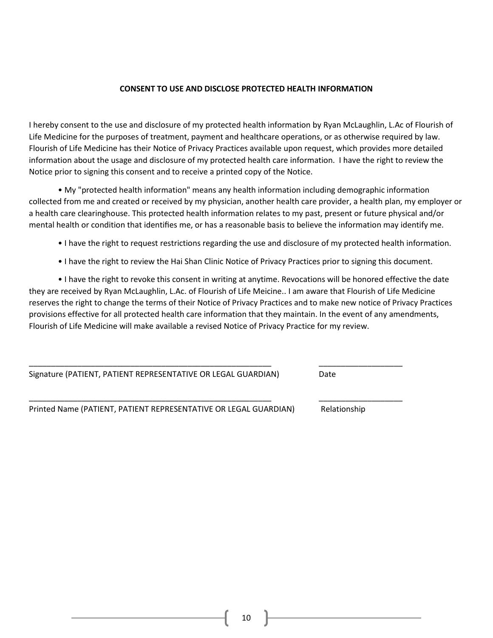### **CONSENT TO USE AND DISCLOSE PROTECTED HEALTH INFORMATION**

I hereby consent to the use and disclosure of my protected health information by Ryan McLaughlin, L.Ac of Flourish of Life Medicine for the purposes of treatment, payment and healthcare operations, or as otherwise required by law. Flourish of Life Medicine has their Notice of Privacy Practices available upon request, which provides more detailed information about the usage and disclosure of my protected health care information. I have the right to review the Notice prior to signing this consent and to receive a printed copy of the Notice.

• My "protected health information" means any health information including demographic information collected from me and created or received by my physician, another health care provider, a health plan, my employer or a health care clearinghouse. This protected health information relates to my past, present or future physical and/or mental health or condition that identifies me, or has a reasonable basis to believe the information may identify me.

- I have the right to request restrictions regarding the use and disclosure of my protected health information.
- I have the right to review the Hai Shan Clinic Notice of Privacy Practices prior to signing this document.

• I have the right to revoke this consent in writing at anytime. Revocations will be honored effective the date they are received by Ryan McLaughlin, L.Ac. of Flourish of Life Meicine.. I am aware that Flourish of Life Medicine reserves the right to change the terms of their Notice of Privacy Practices and to make new notice of Privacy Practices provisions effective for all protected health care information that they maintain. In the event of any amendments, Flourish of Life Medicine will make available a revised Notice of Privacy Practice for my review.

\_\_\_\_\_\_\_\_\_\_\_\_\_\_\_\_\_\_\_\_\_\_\_\_\_\_\_\_\_\_\_\_\_\_\_\_\_\_\_\_\_\_\_\_\_\_\_\_\_\_\_\_\_\_\_ \_\_\_\_\_\_\_\_\_\_\_\_\_\_\_\_\_\_\_

\_\_\_\_\_\_\_\_\_\_\_\_\_\_\_\_\_\_\_\_\_\_\_\_\_\_\_\_\_\_\_\_\_\_\_\_\_\_\_\_\_\_\_\_\_\_\_\_\_\_\_\_\_\_\_ \_\_\_\_\_\_\_\_\_\_\_\_\_\_\_\_\_\_\_

Signature (PATIENT, PATIENT REPRESENTATIVE OR LEGAL GUARDIAN) Date

Printed Name (PATIENT, PATIENT REPRESENTATIVE OR LEGAL GUARDIAN) Relationship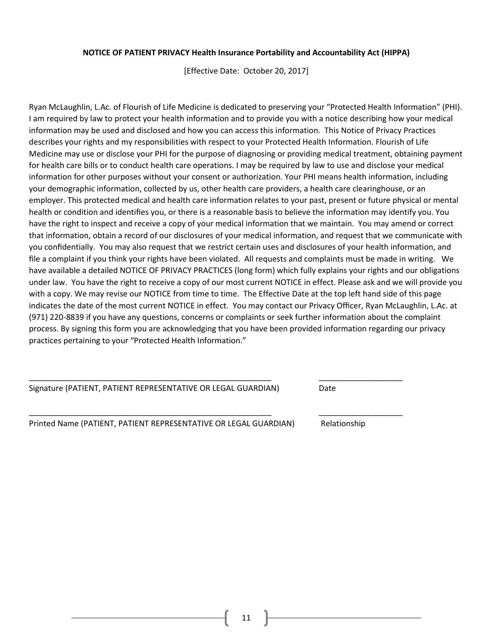### **NOTICE OF PATIENT PRIVACY Health Insurance Portability and Accountability Act (HIPPA)**

[Effective Date: October 20, 2017]

Ryan McLaughlin, L.Ac. of Flourish of Life Medicine is dedicated to preserving your "Protected Health Information" (PHI). I am required by law to protect your health information and to provide you with a notice describing how your medical information may be used and disclosed and how you can access this information. This Notice of Privacy Practices describes your rights and my responsibilities with respect to your Protected Health Information. Flourish of Life Medicine may use or disclose your PHI for the purpose of diagnosing or providing medical treatment, obtaining payment for health care bills or to conduct health care operations. I may be required by law to use and disclose your medical information for other purposes without your consent or authorization. Your PHI means health information, including your demographic information, collected by us, other health care providers, a health care clearinghouse, or an employer. This protected medical and health care information relates to your past, present or future physical or mental health or condition and identifies you, or there is a reasonable basis to believe the information may identify you. You have the right to inspect and receive a copy of your medical information that we maintain. You may amend or correct that information, obtain a record of our disclosures of your medical information, and request that we communicate with you confidentially. You may also request that we restrict certain uses and disclosures of your health information, and file a complaint if you think your rights have been violated. All requests and complaints must be made in writing. We have available a detailed NOTICE OF PRIVACY PRACTICES (long form) which fully explains your rights and our obligations under law. You have the right to receive a copy of our most current NOTICE in effect. Please ask and we will provide you with a copy. We may revise our NOTICE from time to time. The Effective Date at the top left hand side of this page indicates the date of the most current NOTICE in effect. You may contact our Privacy Officer, Ryan McLaughlin, L.Ac. at (971) 220-8839 if you have any questions, concerns or complaints or seek further information about the complaint process. By signing this form you are acknowledging that you have been provided information regarding our privacy practices pertaining to your "Protected Health Information."

\_\_\_\_\_\_\_\_\_\_\_\_\_\_\_\_\_\_\_\_\_\_\_\_\_\_\_\_\_\_\_\_\_\_\_\_\_\_\_\_\_\_\_\_\_\_\_\_\_\_\_\_\_\_\_ \_\_\_\_\_\_\_\_\_\_\_\_\_\_\_\_\_\_\_

\_\_\_\_\_\_\_\_\_\_\_\_\_\_\_\_\_\_\_\_\_\_\_\_\_\_\_\_\_\_\_\_\_\_\_\_\_\_\_\_\_\_\_\_\_\_\_\_\_\_\_\_\_\_\_ \_\_\_\_\_\_\_\_\_\_\_\_\_\_\_\_\_\_\_

Signature (PATIENT, PATIENT REPRESENTATIVE OR LEGAL GUARDIAN) Date

Printed Name (PATIENT, PATIENT REPRESENTATIVE OR LEGAL GUARDIAN) Relationship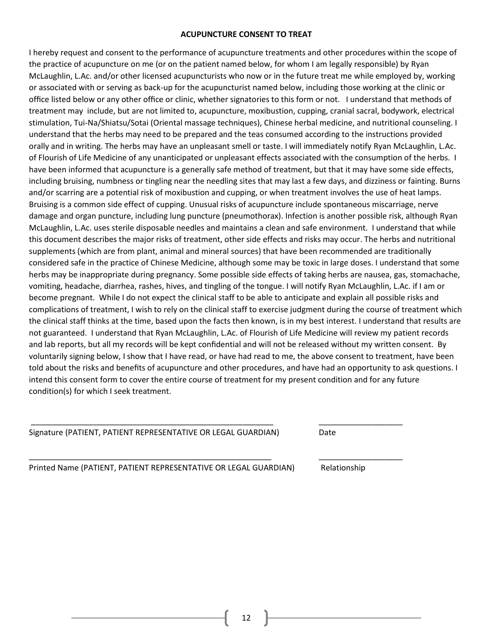### **ACUPUNCTURE CONSENT TO TREAT**

I hereby request and consent to the performance of acupuncture treatments and other procedures within the scope of the practice of acupuncture on me (or on the patient named below, for whom I am legally responsible) by Ryan McLaughlin, L.Ac. and/or other licensed acupuncturists who now or in the future treat me while employed by, working or associated with or serving as back-up for the acupuncturist named below, including those working at the clinic or office listed below or any other office or clinic, whether signatories to this form or not. I understand that methods of treatment may include, but are not limited to, acupuncture, moxibustion, cupping, cranial sacral, bodywork, electrical stimulation, Tui-Na/Shiatsu/Sotai (Oriental massage techniques), Chinese herbal medicine, and nutritional counseling. I understand that the herbs may need to be prepared and the teas consumed according to the instructions provided orally and in writing. The herbs may have an unpleasant smell or taste. I will immediately notify Ryan McLaughlin, L.Ac. of Flourish of Life Medicine of any unanticipated or unpleasant effects associated with the consumption of the herbs. I have been informed that acupuncture is a generally safe method of treatment, but that it may have some side effects, including bruising, numbness or tingling near the needling sites that may last a few days, and dizziness or fainting. Burns and/or scarring are a potential risk of moxibustion and cupping, or when treatment involves the use of heat lamps. Bruising is a common side effect of cupping. Unusual risks of acupuncture include spontaneous miscarriage, nerve damage and organ puncture, including lung puncture (pneumothorax). Infection is another possible risk, although Ryan McLaughlin, L.Ac. uses sterile disposable needles and maintains a clean and safe environment. I understand that while this document describes the major risks of treatment, other side effects and risks may occur. The herbs and nutritional supplements (which are from plant, animal and mineral sources) that have been recommended are traditionally considered safe in the practice of Chinese Medicine, although some may be toxic in large doses. I understand that some herbs may be inappropriate during pregnancy. Some possible side effects of taking herbs are nausea, gas, stomachache, vomiting, headache, diarrhea, rashes, hives, and tingling of the tongue. I will notify Ryan McLaughlin, L.Ac. if I am or become pregnant. While I do not expect the clinical staff to be able to anticipate and explain all possible risks and complications of treatment, I wish to rely on the clinical staff to exercise judgment during the course of treatment which the clinical staff thinks at the time, based upon the facts then known, is in my best interest. I understand that results are not guaranteed. I understand that Ryan McLaughlin, L.Ac. of Flourish of Life Medicine will review my patient records and lab reports, but all my records will be kept confidential and will not be released without my written consent. By voluntarily signing below, I show that I have read, or have had read to me, the above consent to treatment, have been told about the risks and benefits of acupuncture and other procedures, and have had an opportunity to ask questions. I intend this consent form to cover the entire course of treatment for my present condition and for any future condition(s) for which I seek treatment.

Signature (PATIENT, PATIENT REPRESENTATIVE OR LEGAL GUARDIAN) Date

Printed Name (PATIENT, PATIENT REPRESENTATIVE OR LEGAL GUARDIAN) Relationship

\_\_\_\_\_\_\_\_\_\_\_\_\_\_\_\_\_\_\_\_\_\_\_\_\_\_\_\_\_\_\_\_\_\_\_\_\_\_\_\_\_\_\_\_\_\_\_\_\_\_\_\_\_\_\_ \_\_\_\_\_\_\_\_\_\_\_\_\_\_\_\_\_\_\_

\_\_\_\_\_\_\_\_\_\_\_\_\_\_\_\_\_\_\_\_\_\_\_\_\_\_\_\_\_\_\_\_\_\_\_\_\_\_\_\_\_\_\_\_\_\_\_\_\_\_\_\_\_\_\_ \_\_\_\_\_\_\_\_\_\_\_\_\_\_\_\_\_\_\_